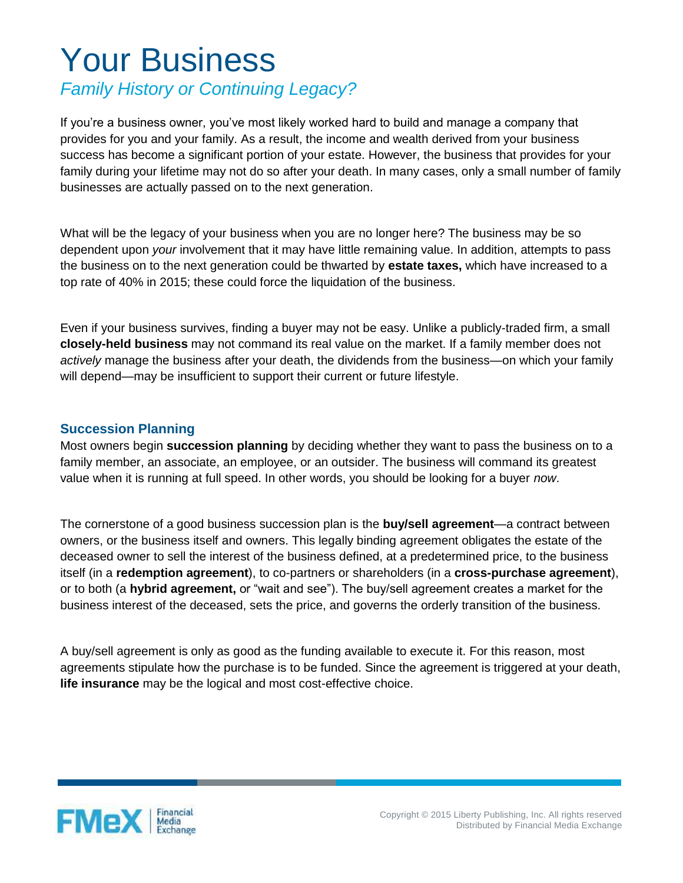## Your Business

## *Family History or Continuing Legacy?*

If you're a business owner, you've most likely worked hard to build and manage a company that provides for you and your family. As a result, the income and wealth derived from your business success has become a significant portion of your estate. However, the business that provides for your family during your lifetime may not do so after your death. In many cases, only a small number of family businesses are actually passed on to the next generation.

What will be the legacy of your business when you are no longer here? The business may be so dependent upon *your* involvement that it may have little remaining value. In addition, attempts to pass the business on to the next generation could be thwarted by **estate taxes,** which have increased to a top rate of 40% in 2015; these could force the liquidation of the business.

Even if your business survives, finding a buyer may not be easy. Unlike a publicly-traded firm, a small **closely-held business** may not command its real value on the market. If a family member does not *actively* manage the business after your death, the dividends from the business—on which your family will depend—may be insufficient to support their current or future lifestyle.

## **Succession Planning**

Most owners begin **succession planning** by deciding whether they want to pass the business on to a family member, an associate, an employee, or an outsider. The business will command its greatest value when it is running at full speed. In other words, you should be looking for a buyer *now*.

The cornerstone of a good business succession plan is the **buy/sell agreement**—a contract between owners, or the business itself and owners. This legally binding agreement obligates the estate of the deceased owner to sell the interest of the business defined, at a predetermined price, to the business itself (in a **redemption agreement**), to co-partners or shareholders (in a **cross-purchase agreement**), or to both (a **hybrid agreement,** or "wait and see"). The buy/sell agreement creates a market for the business interest of the deceased, sets the price, and governs the orderly transition of the business.

A buy/sell agreement is only as good as the funding available to execute it. For this reason, most agreements stipulate how the purchase is to be funded. Since the agreement is triggered at your death, **life insurance** may be the logical and most cost-effective choice.